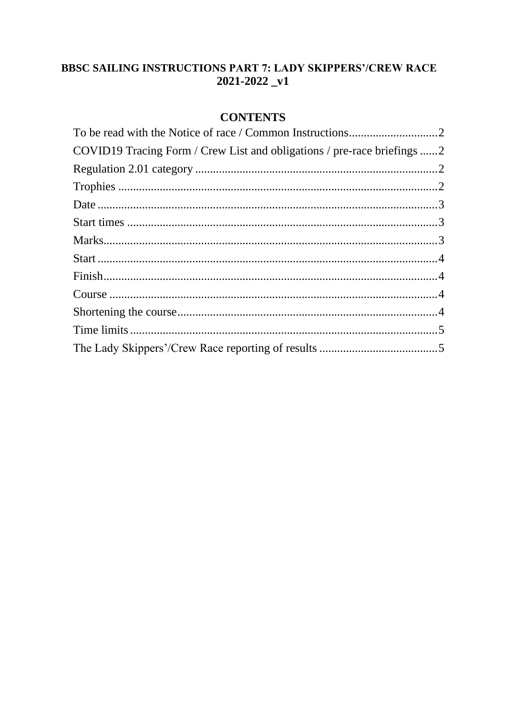# **BBSC SAILING INSTRUCTIONS PART 7: LADY SKIPPERS'/CREW RACE**  $2021 - 2022 - v1$

# **CONTENTS**

| COVID19 Tracing Form / Crew List and obligations / pre-race briefings 2 |  |
|-------------------------------------------------------------------------|--|
|                                                                         |  |
|                                                                         |  |
|                                                                         |  |
|                                                                         |  |
|                                                                         |  |
|                                                                         |  |
|                                                                         |  |
|                                                                         |  |
|                                                                         |  |
|                                                                         |  |
|                                                                         |  |
|                                                                         |  |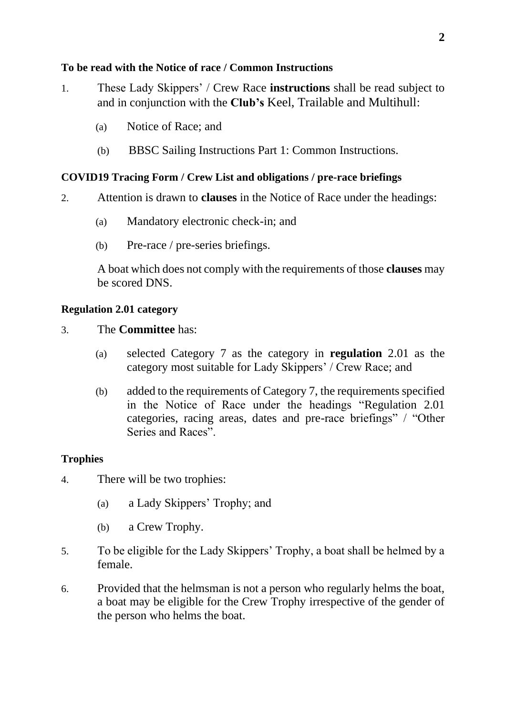# <span id="page-1-0"></span>**To be read with the Notice of race / Common Instructions**

- 1. These Lady Skippers' / Crew Race **instructions** shall be read subject to and in conjunction with the **Club's** Keel, Trailable and Multihull:
	- (a) Notice of Race; and
	- (b) BBSC Sailing Instructions Part 1: Common Instructions.

# <span id="page-1-1"></span>**COVID19 Tracing Form / Crew List and obligations / pre-race briefings**

- 2. Attention is drawn to **clauses** in the Notice of Race under the headings:
	- (a) Mandatory electronic check-in; and
	- (b) Pre-race / pre-series briefings.

A boat which does not comply with the requirements of those **clauses** may be scored DNS.

## <span id="page-1-2"></span>**Regulation 2.01 category**

## 3. The **Committee** has:

- (a) selected Category 7 as the category in **regulation** 2.01 as the category most suitable for Lady Skippers' / Crew Race; and
- (b) added to the requirements of Category 7, the requirements specified in the Notice of Race under the headings "Regulation 2.01 categories, racing areas, dates and pre-race briefings" / "Other Series and Races".

## <span id="page-1-3"></span>**Trophies**

- 4. There will be two trophies:
	- (a) a Lady Skippers' Trophy; and
	- (b) a Crew Trophy.
- 5. To be eligible for the Lady Skippers' Trophy, a boat shall be helmed by a female.
- 6. Provided that the helmsman is not a person who regularly helms the boat, a boat may be eligible for the Crew Trophy irrespective of the gender of the person who helms the boat.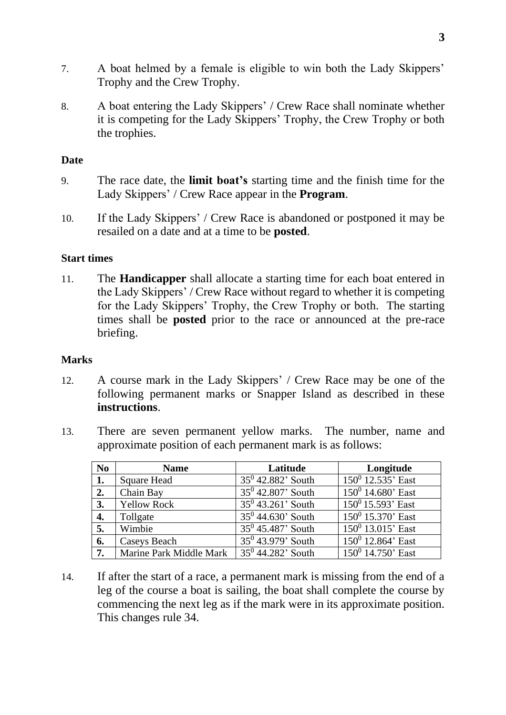- 7. A boat helmed by a female is eligible to win both the Lady Skippers' Trophy and the Crew Trophy.
- 8. A boat entering the Lady Skippers' / Crew Race shall nominate whether it is competing for the Lady Skippers' Trophy, the Crew Trophy or both the trophies.

### <span id="page-2-0"></span>**Date**

- 9. The race date, the **limit boat's** starting time and the finish time for the Lady Skippers' / Crew Race appear in the **Program**.
- 10. If the Lady Skippers' / Crew Race is abandoned or postponed it may be resailed on a date and at a time to be **posted**.

#### <span id="page-2-1"></span>**Start times**

11. The **Handicapper** shall allocate a starting time for each boat entered in the Lady Skippers' / Crew Race without regard to whether it is competing for the Lady Skippers' Trophy, the Crew Trophy or both. The starting times shall be **posted** prior to the race or announced at the pre-race briefing.

#### <span id="page-2-2"></span>**Marks**

- 12. A course mark in the Lady Skippers' / Crew Race may be one of the following permanent marks or Snapper Island as described in these **instructions**.
- 13. There are seven permanent yellow marks. The number, name and approximate position of each permanent mark is as follows:

| No  | <b>Name</b>             | Latitude             | Longitude            |
|-----|-------------------------|----------------------|----------------------|
| 1.  | <b>Square Head</b>      | $35^0$ 42.882' South | $150^0$ 12.535' East |
| 2.  | Chain Bay               | $35^0$ 42.807' South | $150^0$ 14.680' East |
| 3.  | <b>Yellow Rock</b>      | $35^0$ 43.261' South | $150^0$ 15.593' East |
| 4.  | Tollgate                | $35^0$ 44.630' South | $150^0$ 15.370' East |
| 5.  | Wimbie                  | $35^0$ 45.487' South | $150^0$ 13.015' East |
| 6.  | <b>Caseys Beach</b>     | $35^0$ 43.979' South | $150^0$ 12.864' East |
| 17. | Marine Park Middle Mark | $35^0$ 44.282' South | $150^0$ 14.750' East |

14. If after the start of a race, a permanent mark is missing from the end of a leg of the course a boat is sailing, the boat shall complete the course by commencing the next leg as if the mark were in its approximate position. This changes rule 34.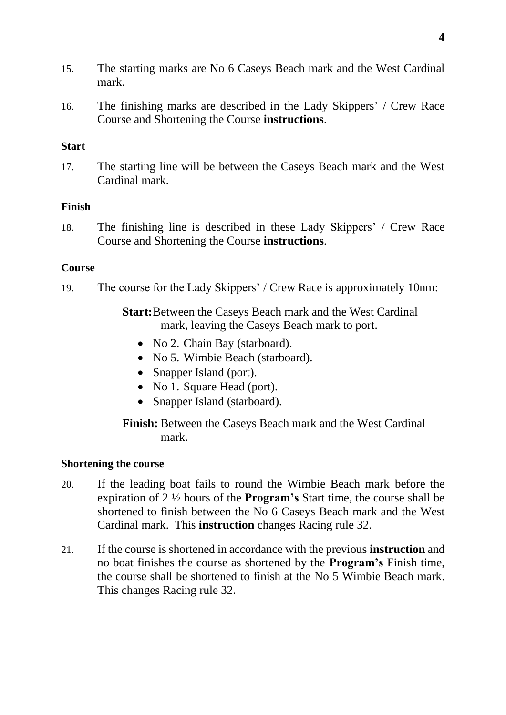- 15. The starting marks are No 6 Caseys Beach mark and the West Cardinal mark.
- 16. The finishing marks are described in the Lady Skippers' / Crew Race Course and Shortening the Course **instructions**.

## <span id="page-3-0"></span>**Start**

17. The starting line will be between the Caseys Beach mark and the West Cardinal mark.

# <span id="page-3-1"></span>**Finish**

18. The finishing line is described in these Lady Skippers' / Crew Race Course and Shortening the Course **instructions**.

# <span id="page-3-2"></span>**Course**

19. The course for the Lady Skippers' / Crew Race is approximately 10nm:

**Start:**Between the Caseys Beach mark and the West Cardinal mark, leaving the Caseys Beach mark to port.

- No 2. Chain Bay (starboard).
- No 5. Wimbie Beach (starboard).
- Snapper Island (port).
- No 1. Square Head (port).
- Snapper Island (starboard).

**Finish:** Between the Caseys Beach mark and the West Cardinal mark.

## <span id="page-3-3"></span>**Shortening the course**

- 20. If the leading boat fails to round the Wimbie Beach mark before the expiration of 2 ½ hours of the **Program's** Start time, the course shall be shortened to finish between the No 6 Caseys Beach mark and the West Cardinal mark. This **instruction** changes Racing rule 32.
- 21. If the course is shortened in accordance with the previous **instruction** and no boat finishes the course as shortened by the **Program's** Finish time, the course shall be shortened to finish at the No 5 Wimbie Beach mark. This changes Racing rule 32.